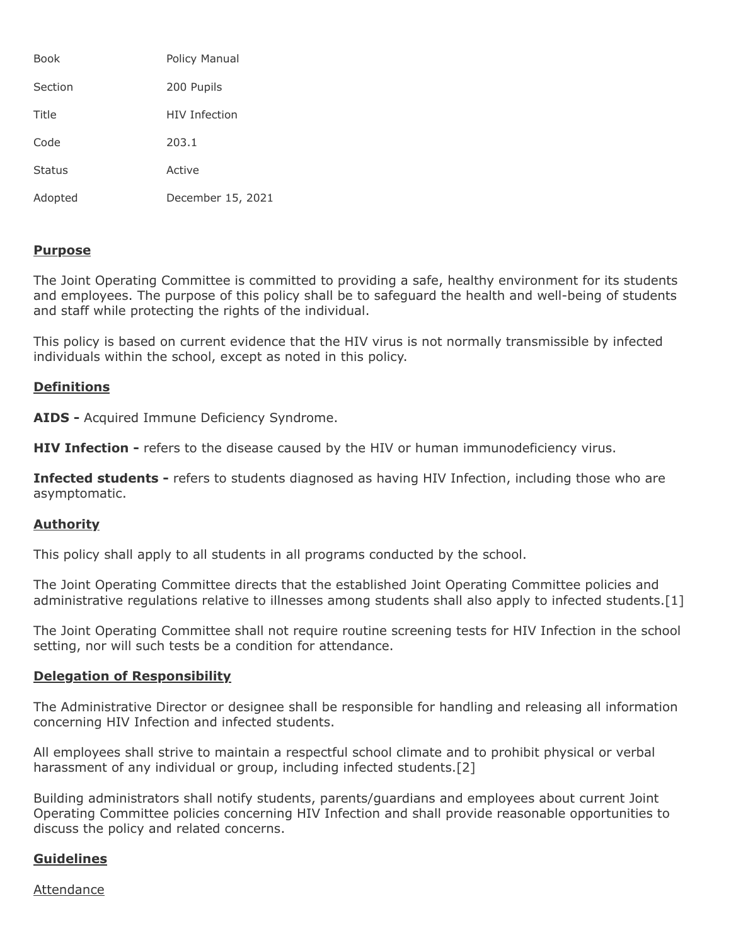| Book          | Policy Manual        |
|---------------|----------------------|
| Section       | 200 Pupils           |
| Title         | <b>HIV Infection</b> |
| Code          | 203.1                |
| <b>Status</b> | Active               |
| Adopted       | December 15, 2021    |

# **Purpose**

The Joint Operating Committee is committed to providing a safe, healthy environment for its students and employees. The purpose of this policy shall be to safeguard the health and well-being of students and staff while protecting the rights of the individual.

This policy is based on current evidence that the HIV virus is not normally transmissible by infected individuals within the school, except as noted in this policy.

# **Definitions**

**AIDS -** Acquired Immune Deficiency Syndrome.

**HIV Infection -** refers to the disease caused by the HIV or human immunodeficiency virus.

**Infected students -** refers to students diagnosed as having HIV Infection, including those who are asymptomatic.

# **Authority**

This policy shall apply to all students in all programs conducted by the school.

The Joint Operating Committee directs that the established Joint Operating Committee policies and administrative regulations relative to illnesses among students shall also apply to infected students.[1]

The Joint Operating Committee shall not require routine screening tests for HIV Infection in the school setting, nor will such tests be a condition for attendance.

# **Delegation of Responsibility**

The Administrative Director or designee shall be responsible for handling and releasing all information concerning HIV Infection and infected students.

All employees shall strive to maintain a respectful school climate and to prohibit physical or verbal harassment of any individual or group, including infected students.[2]

Building administrators shall notify students, parents/guardians and employees about current Joint Operating Committee policies concerning HIV Infection and shall provide reasonable opportunities to discuss the policy and related concerns.

# **Guidelines**

# Attendance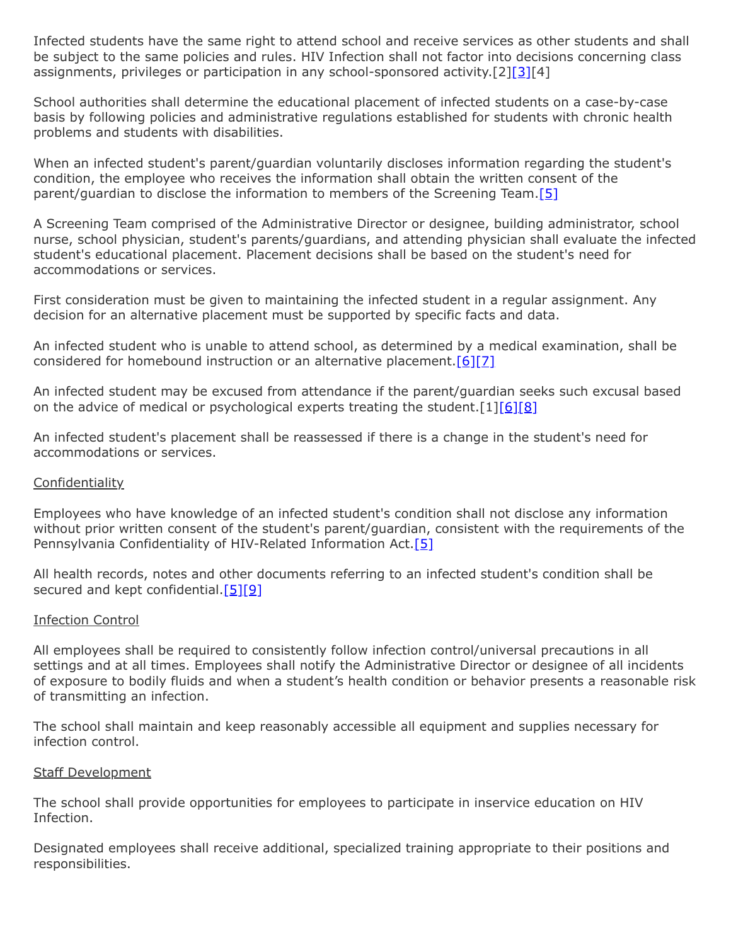Infected students have the same right to attend school and receive services as other students and shall be subject to the same policies and rules. HIV Infection shall not factor into decisions concerning class assignments, privileges or participation in any school-sponsored activity.[2][\[3\]](http://www.legis.state.pa.us/cfdocs/legis/LI/uconsCheck.cfm?txtType=HTM&yr=1949&sessInd=0&smthLwInd=0&act=14&chpt=13&sctn=27&subsctn=0)[4]

School authorities shall determine the educational placement of infected students on a case-by-case basis by following policies and administrative regulations established for students with chronic health problems and students with disabilities.

When an infected student's parent/guardian voluntarily discloses information regarding the student's condition, the employee who receives the information shall obtain the written consent of the parent/guardian to disclose the information to members of the Screening Team[.\[5\]](http://www.legis.state.pa.us/cfdocs/Legis/LI/uconsCheck.cfm?txtType=HTM&yr=1990&sessInd=0&smthLwInd=0&act=0148.)

A Screening Team comprised of the Administrative Director or designee, building administrator, school nurse, school physician, student's parents/guardians, and attending physician shall evaluate the infected student's educational placement. Placement decisions shall be based on the student's need for accommodations or services.

First consideration must be given to maintaining the infected student in a regular assignment. Any decision for an alternative placement must be supported by specific facts and data.

An infected student who is unable to attend school, as determined by a medical examination, shall be considered for homebound instruction or an alternative placement.<sup>[6][\[7\]](http://pacodeandbulletin.gov/Display/pacode?file=/secure/pacode/data/022/chapter11/s11.25.html&d=reduce)</sup>

An infected student may be excused from attendance if the parent/guardian seeks such excusal based on the advice of medical or psychological experts treating the student.  $[1][6][8]$  $[1][6][8]$  $[1][6][8]$ 

An infected student's placement shall be reassessed if there is a change in the student's need for accommodations or services.

# **Confidentiality**

Employees who have knowledge of an infected student's condition shall not disclose any information without prior written consent of the student's parent/guardian, consistent with the requirements of the Pennsylvania Confidentiality of HIV-Related Information Act.<sup>[\[5\]](http://www.legis.state.pa.us/cfdocs/Legis/LI/uconsCheck.cfm?txtType=HTM&yr=1990&sessInd=0&smthLwInd=0&act=0148.)</sup>

All health records, notes and other documents referring to an infected student's condition shall be secured and kept confidential. $[5][9]$  $[5][9]$ 

## Infection Control

All employees shall be required to consistently follow infection control/universal precautions in all settings and at all times. Employees shall notify the Administrative Director or designee of all incidents of exposure to bodily fluids and when a student's health condition or behavior presents a reasonable risk of transmitting an infection.

The school shall maintain and keep reasonably accessible all equipment and supplies necessary for infection control.

# Staff Development

The school shall provide opportunities for employees to participate in inservice education on HIV Infection.

Designated employees shall receive additional, specialized training appropriate to their positions and responsibilities.